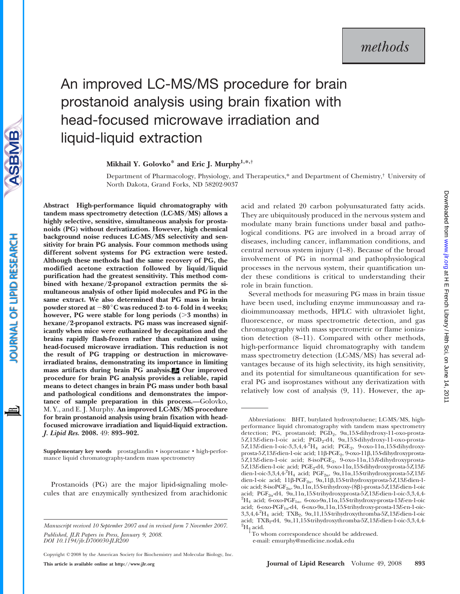# An improved LC-MS/MS procedure for brain prostanoid analysis using brain fixation with head-focused microwave irradiation and liquid-liquid extraction

Mikhail Y. Golovko\* and Eric J. Murphy<sup>1,\*,†</sup>

Department of Pharmacology, Physiology, and Therapeutics,\* and Department of Chemistry,† University of North Dakota, Grand Forks, ND 58202-9037

Abstract High-performance liquid chromatography with tandem mass spectrometry detection (LC-MS/MS) allows a highly selective, sensitive, simultaneous analysis for prostanoids (PG) without derivatization. However, high chemical background noise reduces LC-MS/MS selectivity and sensitivity for brain PG analysis. Four common methods using different solvent systems for PG extraction were tested. Although these methods had the same recovery of PG, the modified acetone extraction followed by liquid/liquid purification had the greatest sensitivity. This method combined with hexane/2-propanol extraction permits the simultaneous analysis of other lipid molecules and PG in the same extract. We also determined that PG mass in brain powder stored at  $-80^{\circ}$ C was reduced 2- to 4- fold in 4 weeks; however, PG were stable for long periods  $($ >3 months) in hexane/2-propanol extracts. PG mass was increased significantly when mice were euthanized by decapitation and the brains rapidly flash-frozen rather than euthanized using head-focused microwave irradiation. This reduction is not the result of PG trapping or destruction in microwaveirradiated brains, demonstrating its importance in limiting mass artifacts during brain PG analysis. Our improved procedure for brain PG analysis provides a reliable, rapid means to detect changes in brain PG mass under both basal and pathological conditions and demonstrates the importance of sample preparation in this process.—Golovko, M. Y., and E. J. Murphy. An improved LC-MS/MS procedure for brain prostanoid analysis using brain fixation with headfocused microwave irradiation and liquid-liquid extraction. J. Lipid Res. 2008. 49: 893–902.

Supplementary key words prostaglandin • isoprostane • high-performance liquid chromatography-tandem mass spectrometry

Prostanoids (PG) are the major lipid-signaling molecules that are enzymically synthesized from arachidonic

Manuscript received 10 September 2007 and in revised form 7 November 2007. Published, JLR Papers in Press, January 9, 2008. DOI 10.1194/jlr.D700030-JLR200

Copyright © 2008 by the American Society for Biochemistry and Molecular Biology, Inc. This article is available online at http://www.jlr.org Journal of Lipid Research Volume 49, 2008 893

acid and related 20 carbon polyunsaturated fatty acids. They are ubiquitously produced in the nervous system and modulate many brain functions under basal and pathological conditions. PG are involved in a broad array of diseases, including cancer, inflammation conditions, and central nervous system injury (1–8). Because of the broad involvement of PG in normal and pathophysiological processes in the nervous system, their quantification under these conditions is critical to understanding their role in brain function.

Several methods for measuring PG mass in brain tissue have been used, including enzyme immunoassay and radioimmunoassay methods, HPLC with ultraviolet light, fluorescence, or mass spectrometric detection, and gas chromatography with mass spectrometric or flame ionization detection (8–11). Compared with other methods, high-performance liquid chromatography with tandem mass spectrometry detection (LC-MS/MS) has several advantages because of its high selectivity, its high sensitivity, and its potential for simultaneous quantification for several PG and isoprostanes without any derivatization with relatively low cost of analysis (9, 11). However, the ap-

Abbreviations: BHT, butylated hydroxytoluene; LC-MS/MS, highperformance liquid chromatography with tandem mass spectrometry detection; PG, prostanoid; PGD<sub>2</sub>, 9α,15S-dihydroxy-11-oxo-prosta-5Z,13E-dien-1-oic acid; PGD2-d4, 9a,15S-dihydroxy-11-oxo-prosta- $5Z,13E$ -dien-1-oic-3,3,4,4- $^{2}$ H<sub>4</sub> acid; PGE<sub>2</sub>, 9-oxo-11 $\alpha$ ,15S-dihydroxyprosta-5Z,13E-dien-1-oic acid; 11ß-PGE<sub>2</sub>, 9-oxo-11ß,15S-dihydroxyprosta-5Z,13E-dien-1-oic acid; 8-isoPGE2, 9-oxo-11a,15R-dihydroxyprosta- $5Z,13E$ -dien-1-oic acid; PGE<sub>2</sub>-d4, 9-oxo-11a,15S-dihydroxyprosta- $5Z,13E$ dien-1-oic-3,3,4,4<sup>-2</sup>H<sub>4</sub> acid; PGF<sub>2 $\alpha$ </sub>, 9 $\alpha$ ,11 $\alpha$ ,15S-trihydroxyprosta-5Z,13Edien-1-oic acid;  $11\beta$ -PGF<sub>2 $\alpha$ </sub>,  $9\alpha$ ,11 $\beta$ ,15S-trihydroxyprosta-5Z,13E-dien-1oic acid; 8-iso $PGF_{2\alpha}$ ,  $9\alpha$ ,  $11\alpha$ ,  $15S$ -trihydroxy-(8 $\beta$ )-prosta-5Z,  $13E$ -dien-1-oic acid; PGF<sub>2 $\alpha$ </sub>-d4, 9 $\alpha$ ,11 $\alpha$ ,15S-trihydroxyprosta-5Z,13E-dien-1-oic-3,3,4,4-<sup>2</sup>H<sub>4</sub> acid; 6-oxo-PGF<sub>1a</sub>, 6-oxo-9a,11a,15S-trihydroxy-prosta-13E-en-1-oic acid;  $6$ -oxo-PGF<sub>1a</sub>-d4,  $6$ -oxo-9a,11a,15S-trihydroxy-prosta-13E-en-1-oic- $3,3,4,4^{2}H_{4}$  acid; TXB<sub>2</sub>,  $9\alpha,11,15$ S-trihydroxythromba-5Z,13*E*-dien-1-oic acid; TXB<sub>2</sub>-d4, 9 $\alpha$ ,11,15S-trihydroxythromba-5Z,13E-dien-1-oic-3,3,4,4- $^{2}H_{4}$  acid.

<sup>1</sup>To whom correspondence should be addressed.

e-mail: emurphy@medicine.nodak.edu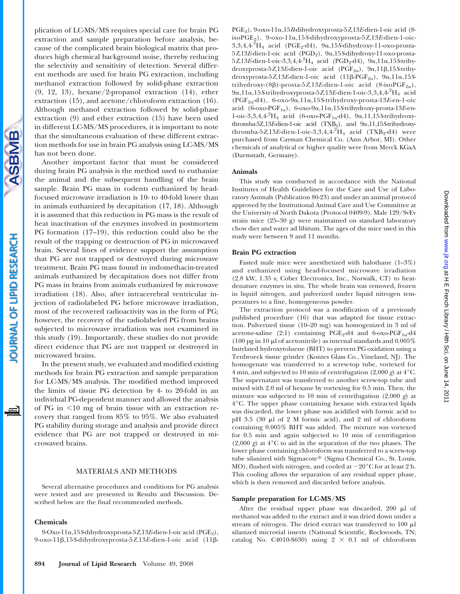**SBMB** 

plication of LC-MS/MS requires special care for brain PG extraction and sample preparation before analysis, because of the complicated brain biological matrix that produces high chemical background noise, thereby reducing the selectivity and sensitivity of detection. Several different methods are used for brain PG extraction, including methanol extraction followed by solid-phase extraction (9, 12, 13), hexane/2-propanol extraction (14), ether extraction (15), and acetone/chloroform extraction (16). Although methanol extraction followed by solid-phase extraction (9) and ether extraction (15) have been used in different LC-MS/MS procedures, it is important to note that the simultaneous evaluation of these different extraction methods for use in brain PG analysis using LC-MS/MS has not been done.

Another important factor that must be considered during brain PG analysis is the method used to euthanize the animal and the subsequent handling of the brain sample. Brain PG mass in rodents euthanized by headfocused microwave irradiation is 10- to 40-fold lower than in animals euthanized by decapitation (17, 18). Although it is assumed that this reduction in PG mass is the result of heat inactivation of the enzymes involved in postmortem PG formation (17–19), this reduction could also be the result of the trapping or destruction of PG in microwaved brain. Several lines of evidence support the assumption that PG are not trapped or destroyed during microwave treatment. Brain PG mass found in indomethacin-treated animals euthanized by decapitation does not differ from PG mass in brains from animals euthanized by microwave irradiation (18). Also, after intracerebral ventricular injection of radiolabeled PG before microwave irradiation, most of the recovered radioactivity was in the form of PG; however, the recovery of the radiolabeled PG from brains subjected to microwave irradiation was not examined in this study (19). Importantly, these studies do not provide direct evidence that PG are not trapped or destroyed in microwaved brains.

In the present study, we evaluated and modified existing methods for brain PG extraction and sample preparation for LC-MS/MS analysis. The modified method improved the limits of tissue PG detection by 4- to 20-fold in an individual PG-dependent manner and allowed the analysis of PG in  $\leq 10$  mg of brain tissue with an extraction recovery that ranged from 85% to 95%. We also evaluated PG stability during storage and analysis and provide direct evidence that PG are not trapped or destroyed in microwaved brains.

## MATERIALS AND METHODS

Several alternative procedures and conditions for PG analysis were tested and are presented in Results and Discussion. Described below are the final recommended methods.

## Chemicals

9-Oxo-11a,15S-dihydroxyprosta-5Z,13E-dien-1-oic acid (PGE2), 9-oxo-11b,15S-dihydroxyprosta-5Z,13E-dien-1-oic acid (11b $PGE_2$ ), 9-oxo-11a,15R-dihydroxyprosta-5Z,13E-dien-1-oic acid (8isoPGE2), 9-oxo-11a,15S-dihydroxyprosta-5Z,13E-dien-1-oic- $3,3,4,4^{2}H_{4}$  acid (PGE<sub>2</sub>-d4),  $9\alpha,15S$ -dihydroxy-11-oxo-prosta-5Z,13E-dien-1-oic acid (PGD<sub>2</sub>), 9α,15S-dihydroxy-11-oxo-prosta- $5Z,13E$ -dien-1-oic-3,3,4,4<sup>-2</sup>H<sub>4</sub> acid (PGD<sub>2</sub>-d4), 9 $\alpha$ ,11 $\alpha$ ,15S-trihydroxyprosta-5Z,13E-dien-1-oic acid (PGF<sub>2a</sub>),  $9\alpha$ ,11 $\beta$ ,15S-trihydroxyprosta-5Z,13E-dien-1-oic acid  $(11\beta-PGF_{2\alpha})$ ,  $9\alpha,11\alpha,15S$ trihydroxy-(8 $\beta$ )-prosta-5Z,13E-dien-1-oic acid (8-isoPGF<sub>2a</sub>), 9a,11a,15S-trihydroxyprosta-5Z,13E-dien-1-oic-3,3,4,4- $^2{\rm H_4}$  acid  $(PGF_{2\alpha}d4)$ , 6-oxo-9 $\alpha$ ,11 $\alpha$ ,15S-trihydroxy-prosta-13E-en-1-oic acid (6-oxo-PGF<sub>1 $\alpha$ </sub>), 6-oxo-9 $\alpha$ ,11 $\alpha$ ,15S-trihydroxy-prosta-13E-en-1-oic-3,3,4,4<sup>-2</sup>H<sub>4</sub> acid (6-oxo-PGF<sub>1 $\alpha$ </sub>-d4), 9 $\alpha$ ,11,15S-trihydroxythromba-5Z,13E-dien-1-oic acid (TXB<sub>2</sub>), and 9a,11,15S-trihydroxythromba-5Z,13E-dien-1-oic-3,3,4,4- $^{2}H_{4}$  acid (TXB<sub>2</sub>-d4) were purchased from Cayman Chemical Co. (Ann Arbor, MI). Other chemicals of analytical or higher quality were from Merck KGaA (Darmstadt, Germany).

#### Animals

This study was conducted in accordance with the National Institutes of Health Guidelines for the Care and Use of Laboratory Animals (Publication 80-23) and under an animal protocol approved by the Institutional Animal Care and Use Committee at the University of North Dakota (Protocol 0409-9). Male 129/SvEv strain mice (25–30 g) were maintained on standard laboratory chow diet and water ad libitum. The ages of the mice used in this study were between 9 and 11 months.

## Brain PG extraction

Fasted male mice were anesthetized with halothane (1–3%) and euthanized using head-focused microwave irradiation (2.8 kW, 1.35 s; Cober Electronics, Inc., Norwalk, CT) to heatdenature enzymes in situ. The whole brain was removed, frozen in liquid nitrogen, and pulverized under liquid nitrogen temperatures to a fine, homogeneous powder.

The extraction protocol was a modification of a previously published procedure (16) that was adapted for tissue extraction. Pulverized tissue (10–20 mg) was homogenized in 3 ml of acetone-saline (2:1) containing PGE<sub>2</sub>-d4 and 6-oxo-PGF<sub>1 $\alpha$ </sub>-d4 (100 pg in 10  $\mu$ l of acetonitrile) as internal standards and 0.005% butylated hydroxytoluene (BHT) to prevent PG oxidation using a Tenbroeck tissue grinder (Kontes Glass Co., Vineland, NJ). The homogenate was transferred to a screw-top tube, vortexed for 4 min, and subjected to 10 min of centrifugation  $(2,000 \text{ g})$  at 4°C. The supernatant was transferred to another screw-top tube and mixed with 2.0 ml of hexane by vortexing for 0.5 min. Then, the mixture was subjected to 10 min of centrifugation  $(2,000 \text{ g})$  at 4°C. The upper phase containing hexane with extracted lipids was discarded, the lower phase was acidified with formic acid to pH 3.5 (30  $\mu$ l of 2 M formic acid), and 2 ml of chloroform containing 0.005% BHT was added. The mixture was vortexed for 0.5 min and again subjected to 10 min of centrifugation  $(2,000 \text{ g})$  at  $4^{\circ}$ C to aid in the separation of the two phases. The lower phase containing chloroform was transferred to a screw-top tube silanized with Sigmacote® (Sigma Chemical Co., St. Louis, MO), flushed with nitrogen, and cooled at  $-20^{\circ}$ C for at least 2 h. This cooling allows the separation of any residual upper phase, which is then removed and discarded before analysis.

## Sample preparation for LC-MS/MS

After the residual upper phase was discarded, 200  $\mu$ l of methanol was added to the extract and it was dried down under a stream of nitrogen. The dried extract was transferred to  $100 \mu l$ silanized microvial inserts (National Scientific, Rockwoods, TN; catalog No. C4010-S630) using  $2 \times 0.1$  ml of chloroform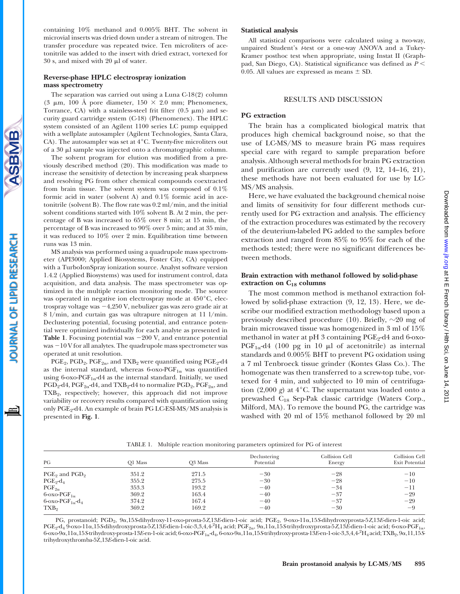Downloaded from www.jlr.org at H E French Library / Hlth Sci, on June 14, 2011 Downloaded from [www.jlr.org](http://www.jlr.org/) at H E French Library / Hlth Sci, on June 14, 2011

## containing 10% methanol and 0.005% BHT. The solvent in microvial inserts was dried down under a stream of nitrogen. The transfer procedure was repeated twice. Ten microliters of acetonitrile was added to the insert with dried extract, vortexed for  $30$  s, and mixed with  $20 \mu l$  of water.

# Reverse-phase HPLC electrospray ionization mass spectrometry

The separation was carried out using a Luna C-18(2) column (3  $\mu$ m, 100 Å pore diameter, 150  $\times$  2.0 mm; Phenomenex, Torrance, CA) with a stainless-steel frit filter  $(0.5 \mu m)$  and security guard cartridge system (C-18) (Phenomenex). The HPLC system consisted of an Agilent 1100 series LC pump equipped with a wellplate autosampler (Agilent Technologies, Santa Clara, CA). The autosampler was set at  $4^{\circ}$ C. Twenty-five microliters out of a 30  $\mu$ l sample was injected onto a chromatographic column.

The solvent program for elution was modified from a previously described method (20). This modification was made to increase the sensitivity of detection by increasing peak sharpness and resolving PG from other chemical compounds coextracted from brain tissue. The solvent system was composed of 0.1% formic acid in water (solvent A) and 0.1% formic acid in acetonitrile (solvent B). The flow rate was 0.2 ml/min, and the initial solvent conditions started with 10% solvent B. At 2 min, the percentage of B was increased to 65% over 8 min; at 15 min, the percentage of B was increased to 90% over 5 min; and at 35 min, it was reduced to 10% over 2 min. Equilibration time between runs was 13 min.

MS analysis was performed using a quadrupole mass spectrometer (API3000; Applied Biosystems, Foster City, CA) equipped with a TurboIonSpray ionization source. Analyst software version 1.4.2 (Applied Biosystems) was used for instrument control, data acquisition, and data analysis. The mass spectrometer was optimized in the multiple reaction monitoring mode. The source was operated in negative ion electrospray mode at  $450^{\circ}$ C, electrospray voltage was  $-4,250$  V, nebulizer gas was zero grade air at 8 l/min, and curtain gas was ultrapure nitrogen at 11 l/min. Declustering potential, focusing potential, and entrance potential were optimized individually for each analyte as presented in **Table 1.** Focusing potential was  $-200$  V, and entrance potential  $was -10V$  for all analytes. The quadrupole mass spectrometer was operated at unit resolution.

 $PGE_2$ ,  $PGD_2$ ,  $PGF_{2\alpha}$ , and  $TXB_2$  were quantified using  $PGE_2$ -d4 as the internal standard, whereas 6-oxo-PGF<sub>1 $\alpha$ </sub> was quantified using 6-oxo-PGF<sub>1 $\alpha$ </sub>-d4 as the internal standard. Initially, we used  $PGD<sub>2</sub>-d4$ ,  $PGF<sub>2</sub>_{\alpha}$ -d4, and  $TXB<sub>2</sub>-d4$  to normalize  $PGD<sub>2</sub>$ ,  $PGF<sub>2</sub>_{\alpha}$ , and  $TXB<sub>2</sub>$ , respectively; however, this approach did not improve variability or recovery results compared with quantification using only PGE2-d4. An example of brain PG LC-ESI-MS/MS analysis is presented in Fig. 1.

# Statistical analysis

All statistical comparisons were calculated using a two-way, unpaired Student's t-test or a one-way ANOVA and a Tukey-Kramer posthoc test when appropriate, using Instat II (Graphpad, San Diego, CA). Statistical significance was defined as  $P \leq$ 0.05. All values are expressed as means  $\pm$  SD.

# RESULTS AND DISCUSSION

# PG extraction

The brain has a complicated biological matrix that produces high chemical background noise, so that the use of LC-MS/MS to measure brain PG mass requires special care with regard to sample preparation before analysis. Although several methods for brain PG extraction and purification are currently used (9, 12, 14–16, 21), these methods have not been evaluated for use by LC-MS/MS analysis.

Here, we have evaluated the background chemical noise and limits of sensitivity for four different methods currently used for PG extraction and analysis. The efficiency of the extraction procedures was estimated by the recovery of the deuterium-labeled PG added to the samples before extraction and ranged from 85% to 95% for each of the methods tested; there were no significant differences between methods.

# Brain extraction with methanol followed by solid-phase extraction on  $C_{18}$  columns

The most common method is methanol extraction followed by solid-phase extraction (9, 12, 13). Here, we describe our modified extraction methodology based upon a previously described procedure (10). Briefly,  $\sim 20$  mg of brain microwaved tissue was homogenized in 3 ml of 15% methanol in water at pH 3 containing  $PGE_2-d4$  and 6-oxo- $PGF_{1\alpha}$ -d4 (100 pg in 10 µl of acetonitrile) as internal standards and 0.005% BHT to prevent PG oxidation using a 7 ml Tenbroeck tissue grinder (Kontes Glass Co.). The homogenate was then transferred to a screw-top tube, vortexed for 4 min, and subjected to 10 min of centrifugation (2,000 g) at  $4^{\circ}$ C. The supernatant was loaded onto a prewashed C18 Sep-Pak classic cartridge (Waters Corp., Milford, MA). To remove the bound PG, the cartridge was washed with 20 ml of 15% methanol followed by 20 ml

TABLE 1. Multiple reaction monitoring parameters optimized for PG of interest

| PG                                           | O1 Mass | O3 Mass | Declustering<br>Potential | Collision Cell<br>Energy | Collision Cell<br><b>Exit Potential</b> |
|----------------------------------------------|---------|---------|---------------------------|--------------------------|-----------------------------------------|
| $PGE_2$ and $PGD_2$                          | 351.2   | 271.5   | $-30$                     | $-28$                    | $-10$                                   |
| $PGE_2-d_4$                                  | 355.2   | 275.5   | $-30$                     | $-28$                    | $-10$                                   |
| $PGF_{2\alpha}$                              | 353.3   | 193.2   | $-40$                     | $-34$                    | $^{-11}$                                |
| $6\text{-oxo-PGF}_{1\alpha}$                 | 369.2   | 163.4   | $-40$                     | $-37$                    | $-29$                                   |
| $6\text{-oxo-PGF}_{1\alpha}$ -d <sub>4</sub> | 374.2   | 167.4   | $-40$                     | $-37$                    | $-29$                                   |
| TXB <sub>2</sub>                             | 369.2   | 169.2   | $-40$                     | $-30$                    | $-9$                                    |

PG, prostanoid; PGD2, 9a,15S-dihydroxy-11-oxo-prosta-5Z,13E-dien-1-oic acid; PGE2, 9-oxo-11a,15S-dihydroxyprosta-5Z,13E-dien-1-oic acid;  $\textrm{PGE}_2$ d $_4$  9-oxo-11a,15S-dihydroxyprosta-5Z,13E-dien-1-oic-3,3,4,4- $^2$ H4 acid; PGF<sub>2a</sub>, 9a,11a,15S-trihydroxyprosta-5Z,13E-dien-1-oic acid; 6-oxo-PGF<sub>1a</sub>, 6-oxo-9a,11a,15S-trihydroxy-prosta-13E-en-1-oic acid; 6-oxo-PGF<sub>1a</sub>-d<sub>4</sub>, 6-oxo-9a,11a,15S-trihydroxy-prosta-13E-en-1-oic-3,3,4,4<sup>2</sup>H<sub>4</sub> acid; TXB<sub>2</sub>, 9a,11,15S trihydroxythromba-5Z,13E-dien-1-oic acid.

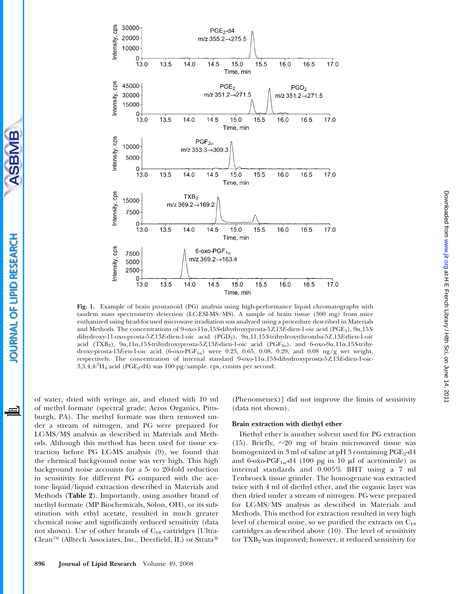

Fig. 1. Example of brain prostanoid (PG) analysis using high-performance liquid chromatography with tandem mass spectrometry detection (LC-ESI-MS/MS). A sample of brain tissue (300 mg) from mice euthanized using head-focused microwave irradiation was analyzed using a procedure described in Materials and Methods. The concentrations of  $9$ -oxo-11 $\alpha$ ,15S-dihydroxyprosta-5Z,13E-dien-1-oic acid (PGE<sub>2</sub>),  $9\alpha$ ,15Sdihydroxy-11-oxo-prosta-5Z,13E-dien-1-oic acid (PGD2), 9a,11,15S-trihydroxythromba-5Z,13E-dien-1-oic acid (TXB<sub>2</sub>),  $9\alpha,11\alpha,15$ S-trihydroxyprosta-5Z,13E-dien-1-oic acid (PGF<sub>2 $\alpha$ </sub>), and  $6$ -oxo-9 $\alpha,11\alpha,15$ S-trihydroxy-prosta-13E-en-1-oic acid (6-oxo-PGF<sub>1 $\alpha$ </sub>) were 0.23, 0.65, 0.08, 0.29, and 0.08 ng/g wet weight, respectively. The concentration of internal standard 9-oxo-11a,15S-dihydroxyprosta-5Z,13E-dien-1-oic- $3,3,4,4^2H_4$  acid (PGE<sub>2</sub>-d4) was 100 pg/sample. cps, counts per second.

of water, dried with syringe air, and eluted with 10 ml of methyl formate (spectral grade; Acros Organics, Pittsburgh, PA). The methyl formate was then removed under a stream of nitrogen, and PG were prepared for LC-MS/MS analysis as described in Materials and Methods. Although this method has been used for tissue extraction before PG LC-MS analysis (9), we found that the chemical background noise was very high. This high background noise accounts for a 5- to 20-fold reduction in sensitivity for different PG compared with the acetone liquid/liquid extraction described in Materials and Methods (Table 2). Importantly, using another brand of methyl formate (MP Biochemicals, Solon, OH), or its substitution with ethyl acetate, resulted in much greater chemical noise and significantly reduced sensitivity (data not shown). Use of other brands of C<sub>18</sub> cartridges [Ultra-Clean™ (Alltech Associates, Inc., Deerfield, IL) or Strata®

SBMB

**OURNAL OF LIPID RESEARCH** 

≝

(Phenomenex)] did not improve the limits of sensitivity (data not shown).

# Brain extraction with diethyl ether

Diethyl ether is another solvent used for PG extraction (15). Briefly,  $\sim 20$  mg of brain microwaved tissue was homogenized in 3 ml of saline at pH 3 containing  $PGE_2-d4$ and 6-oxo-PGF<sub>1 $\alpha$ </sub>-d4 (100 pg in 10  $\mu$ l of acetonitrile) as internal standards and 0.005% BHT using a 7 ml Tenbroeck tissue grinder. The homogenate was extracted twice with 4 ml of diethyl ether, and the organic layer was then dried under a stream of nitrogen. PG were prepared for LC-MS/MS analysis as described in Materials and Methods. This method for extraction resulted in very high level of chemical noise, so we purified the extracts on  $C_{18}$ cartridges as described above (10). The level of sensitivity for  $TXB<sub>2</sub>$  was improved; however, it reduced sensitivity for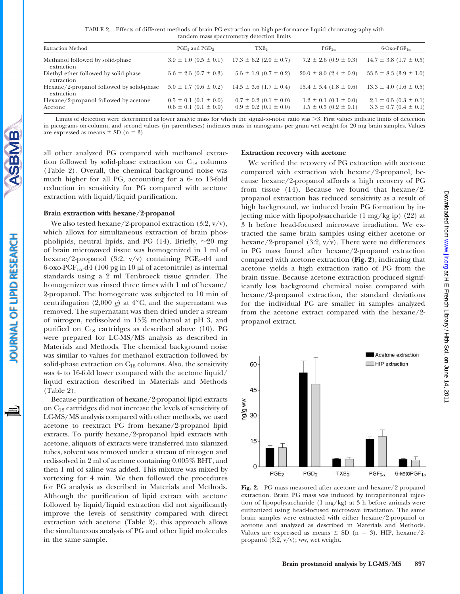TABLE 2. Effects of different methods of brain PG extraction on high-performance liquid chromatography with tandem mass spectrometry detection limits

| <b>Extraction Method</b>                                | PGE <sub>2</sub> and PGD <sub>2</sub>                          | TXB <sub>2</sub>                                               | $PGF_{2\alpha}$                                                | $6$ -Oxo-PGF <sub>1<math>\alpha</math></sub>                   |
|---------------------------------------------------------|----------------------------------------------------------------|----------------------------------------------------------------|----------------------------------------------------------------|----------------------------------------------------------------|
| Methanol followed by solid-phase<br>extraction          | $3.9 \pm 1.0$ $(0.5 \pm 0.1)$                                  | $17.3 \pm 6.2$ (2.0 $\pm$ 0.7)                                 | $7.2 \pm 2.6$ (0.9 $\pm$ 0.3)                                  | $14.7 \pm 3.8$ (1.7 $\pm$ 0.5)                                 |
| Diethyl ether followed by solid-phase<br>extraction     | $5.6 \pm 2.5$ (0.7 $\pm$ 0.3)                                  | $5.5 \pm 1.9$ (0.7 $\pm$ 0.2)                                  | $20.0 \pm 8.0$ (2.4 $\pm$ 0.9)                                 | $33.3 \pm 8.3$ (3.9 $\pm$ 1.0)                                 |
| Hexane/2-propanol followed by solid-phase<br>extraction | $5.0 \pm 1.7$ (0.6 $\pm$ 0.2)                                  | $14.5 \pm 3.6$ (1.7 $\pm$ 0.4)                                 | $15.4 \pm 5.4$ (1.8 $\pm$ 0.6)                                 | $13.3 \pm 4.0$ (1.6 $\pm$ 0.5)                                 |
| Hexane/2-propanol followed by acetone<br>Acetone        | $0.5 \pm 0.1$ $(0.1 \pm 0.0)$<br>$0.6 \pm 0.1$ $(0.1 \pm 0.0)$ | $0.7 \pm 0.2$ (0.1 $\pm$ 0.0)<br>$0.9 \pm 0.2$ (0.1 $\pm$ 0.0) | $1.2 \pm 0.1$ (0.1 $\pm$ 0.0)<br>$1.5 \pm 0.5$ (0.2 $\pm$ 0.1) | $2.1 \pm 0.5$ (0.3 $\pm$ 0.1)<br>$3.3 \pm 0.7$ (0.4 $\pm$ 0.1) |

Limits of detection were determined as lower analyte mass for which the signal-to-noise ratio was  $>$ 3. First values indicate limits of detection in picograms on-column, and second values (in parentheses) indicates mass in nanograms per gram wet weight for 20 mg brain samples. Values are expressed as means  $\pm$  SD (n = 3).

all other analyzed PG compared with methanol extraction followed by solid-phase extraction on  $C_{18}$  columns (Table 2). Overall, the chemical background noise was much higher for all PG, accounting for a 6- to 13-fold reduction in sensitivity for PG compared with acetone extraction with liquid/liquid purification.

## Brain extraction with hexane/2-propanol

BMB

**OURNAL OF LIPID RESEARCH** 

We also tested hexane/2-propanol extraction  $(3:2, v/v)$ , which allows for simultaneous extraction of brain phospholipids, neutral lipids, and PG (14). Briefly,  $\sim 20$  mg of brain microwaved tissue was homogenized in 1 ml of hexane/2-propanol (3:2,  $v/v$ ) containing PGE<sub>2</sub>-d4 and 6-oxo-PGF<sub>1 $\alpha$ </sub>-d4 (100 pg in 10  $\mu$ l of acetonitrile) as internal standards using a 2 ml Tenbroeck tissue grinder. The homogenizer was rinsed three times with 1 ml of hexane/ 2-propanol. The homogenate was subjected to 10 min of centrifugation (2,000 g) at  $4^{\circ}$ C, and the supernatant was removed. The supernatant was then dried under a stream of nitrogen, redissolved in 15% methanol at pH 3, and purified on  $C_{18}$  cartridges as described above (10). PG were prepared for LC-MS/MS analysis as described in Materials and Methods. The chemical background noise was similar to values for methanol extraction followed by solid-phase extraction on  $C_{18}$  columns. Also, the sensitivity was 4- to 16-fold lower compared with the acetone liquid/ liquid extraction described in Materials and Methods (Table 2).

Because purification of hexane/2-propanol lipid extracts on C18 cartridges did not increase the levels of sensitivity of LC-MS/MS analysis compared with other methods, we used acetone to reextract PG from hexane/2-propanol lipid extracts. To purify hexane/2-propanol lipid extracts with acetone, aliquots of extracts were transferred into silanized tubes, solvent was removed under a stream of nitrogen and redissolved in 2 ml of acetone containing 0.005% BHT, and then 1 ml of saline was added. This mixture was mixed by vortexing for 4 min. We then followed the procedures for PG analysis as described in Materials and Methods. Although the purification of lipid extract with acetone followed by liquid/liquid extraction did not significantly improve the levels of sensitivity compared with direct extraction with acetone (Table 2), this approach allows the simultaneous analysis of PG and other lipid molecules in the same sample.

## Extraction recovery with acetone

We verified the recovery of PG extraction with acetone compared with extraction with hexane/2-propanol, because hexane/2-propanol affords a high recovery of PG from tissue (14). Because we found that hexane/2 propanol extraction has reduced sensitivity as a result of high background, we induced brain PG formation by injecting mice with lipopolysaccharide (1 mg/kg ip) (22) at 3 h before head-focused microwave irradiation. We extracted the same brain samples using either acetone or hexane/2-propanol (3:2,  $v/v$ ). There were no differences in PG mass found after hexane/2-propanol extraction compared with acetone extraction (Fig. 2), indicating that acetone yields a high extraction ratio of PG from the brain tissue. Because acetone extraction produced significantly less background chemical noise compared with hexane/2-propanol extraction, the standard deviations for the individual PG are smaller in samples analyzed from the acetone extract compared with the hexane/2 propanol extract.



Fig. 2. PG mass measured after acetone and hexane/2-propanol extraction. Brain PG mass was induced by intraperitoneal injection of lipopolysaccharide (1 mg/kg) at 3 h before animals were euthanized using head-focused microwave irradiation. The same brain samples were extracted with either hexane/2-propanol or acetone and analyzed as described in Materials and Methods. Values are expressed as means  $\pm$  SD (n = 3). HIP, hexane/2propanol (3:2, v/v); ww, wet weight.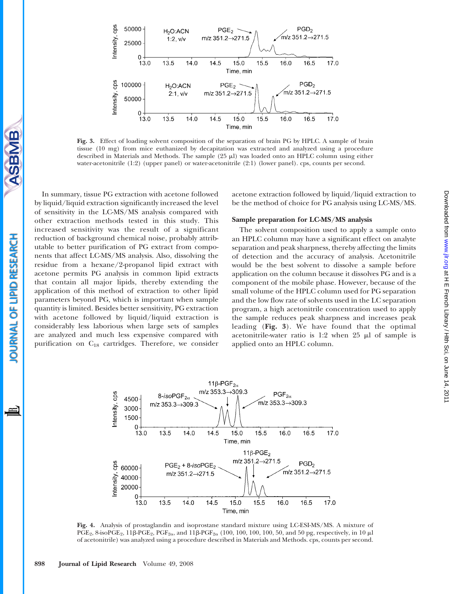

Fig. 3. Effect of loading solvent composition of the separation of brain PG by HPLC. A sample of brain tissue (10 mg) from mice euthanized by decapitation was extracted and analyzed using a procedure described in Materials and Methods. The sample  $(25 \mu l)$  was loaded onto an HPLC column using either water-acetonitrile (1:2) (upper panel) or water-acetonitrile (2:1) (lower panel). cps, counts per second.

In summary, tissue PG extraction with acetone followed by liquid/liquid extraction significantly increased the level of sensitivity in the LC-MS/MS analysis compared with other extraction methods tested in this study. This increased sensitivity was the result of a significant reduction of background chemical noise, probably attributable to better purification of PG extract from components that affect LC-MS/MS analysis. Also, dissolving the residue from a hexane/2-propanol lipid extract with acetone permits PG analysis in common lipid extracts that contain all major lipids, thereby extending the application of this method of extraction to other lipid parameters beyond PG, which is important when sample quantity is limited. Besides better sensitivity, PG extraction with acetone followed by liquid/liquid extraction is considerably less laborious when large sets of samples are analyzed and much less expensive compared with purification on  $C_{18}$  cartridges. Therefore, we consider

acetone extraction followed by liquid/liquid extraction to be the method of choice for PG analysis using LC-MS/MS.

## Sample preparation for LC-MS/MS analysis

The solvent composition used to apply a sample onto an HPLC column may have a significant effect on analyte separation and peak sharpness, thereby affecting the limits of detection and the accuracy of analysis. Acetonitrile would be the best solvent to dissolve a sample before application on the column because it dissolves PG and is a component of the mobile phase. However, because of the small volume of the HPLC column used for PG separation and the low flow rate of solvents used in the LC separation program, a high acetonitrile concentration used to apply the sample reduces peak sharpness and increases peak leading (Fig. 3). We have found that the optimal acetonitrile-water ratio is 1:2 when  $25 \mu l$  of sample is applied onto an HPLC column.



Fig. 4. Analysis of prostaglandin and isoprostane standard mixture using LC-ESI-MS/MS. A mixture of PGE<sub>2</sub>, 8-isoPGE<sub>2</sub>, 11 $\beta$ -PGE<sub>2</sub>, PGF<sub>2a</sub>, and 11 $\beta$ -PGF<sub>2a</sub> (100, 100, 100, 100, 50, and 50 pg, respectively, in 10  $\mu$ I of acetonitrile) was analyzed using a procedure described in Materials and Methods. cps, counts per second.

OURNAL OF LIPID RESEARCH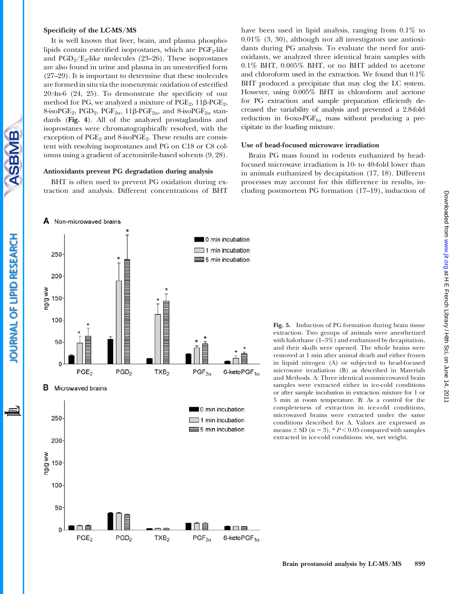#### Specificity of the LC-MS/MS

A Non-microwaved brains

It is well known that liver, brain, and plasma phospholipids contain esterified isoprostanes, which are  $PGF_2$ -like and  $PGD_2/E_2$ -like molecules (23–26). These isoprostanes are also found in urine and plasma in an unesterified form (27–29). It is important to determine that these molecules are formed in situ via the nonenzymic oxidation of esterified 20:4n-6 (24, 25). To demonstrate the specificity of our method for PG, we analyzed a mixture of  $PGE_2$ ,  $11\beta$ - $PGE_2$ , 8-isoPGE<sub>2</sub>, PGD<sub>2</sub>, PGF<sub>2 $\alpha$ </sub>, 11 $\beta$ -PGF<sub>2 $\alpha$ </sub>, and 8-isoPGF<sub>2 $\alpha$ </sub> standards (Fig. 4). All of the analyzed prostaglandins and isoprostanes were chromatographically resolved, with the exception of PGE<sub>2</sub> and 8-isoPGE<sub>2</sub>. These results are consistent with resolving isoprostanes and PG on C18 or C8 columns using a gradient of acetonitrile-based solvents (9, 28).

### Antioxidants prevent PG degradation during analysis

BHT is often used to prevent PG oxidation during extraction and analysis. Different concentrations of BHT have been used in lipid analysis, ranging from 0.1% to 0.01% (3, 30), although not all investigators use antioxidants during PG analysis. To evaluate the need for antioxidants, we analyzed three identical brain samples with 0.1% BHT, 0.005% BHT, or no BHT added to acetone and chloroform used in the extraction. We found that 0.1% BHT produced a precipitate that may clog the LC system. However, using 0.005% BHT in chloroform and acetone for PG extraction and sample preparation efficiently decreased the variability of analysis and prevented a 2.8-fold reduction in 6-oxo-PGF<sub>1 $\alpha$ </sub> mass without producing a precipitate in the loading mixture.

### Use of head-focused microwave irradiation

Brain PG mass found in rodents euthanized by headfocused microwave irradiation is 10- to 40-fold lower than in animals euthanized by decapitation (17, 18). Different processes may account for this difference in results, including postmortem PG formation (17–19), induction of

0 min incubation 1 min incubation 250 5 min incubation 200 ww B/Bu 150  $100 50 \Omega$ PGE<sub>2</sub>  $PGD<sub>2</sub>$  $\mathsf{PGF}_{2\alpha}$  $TXB<sub>2</sub>$ 6-keto $PGF_{1\alpha}$ в Microwaved brains 0 min incubation 250  $\Box$  1 min incubation 5 min incubation 200 ww B/Bu 150 100  $50 \Omega$ 

 $PGD<sub>2</sub>$ 

 $TXB<sub>2</sub>$ 

PGE<sub>2</sub>

 $PGF_{2\alpha}$ 

6-keto $PGF_{1\alpha}$ 

Fig. 5. Induction of PG formation during brain tissue extraction. Two groups of animals were anesthetized with halothane  $(1-3\%)$  and euthanized by decapitation, and their skulls were opened. The whole brains were removed at 1 min after animal death and either frozen in liquid nitrogen (A) or subjected to head-focused microwave irradiation (B) as described in Materials and Methods. A: Three identical nonmicrowaved brain samples were extracted either in ice-cold conditions or after sample incubation in extraction mixture for 1 or 5 min at room temperature. B: As a control for the completeness of extraction in ice-cold conditions, microwaved brains were extracted under the same conditions described for A. Values are expressed as means  $\pm$  SD (n = 3). \*  $P$  < 0.05 compared with samples extracted in ice-cold conditions. ww, wet weight.

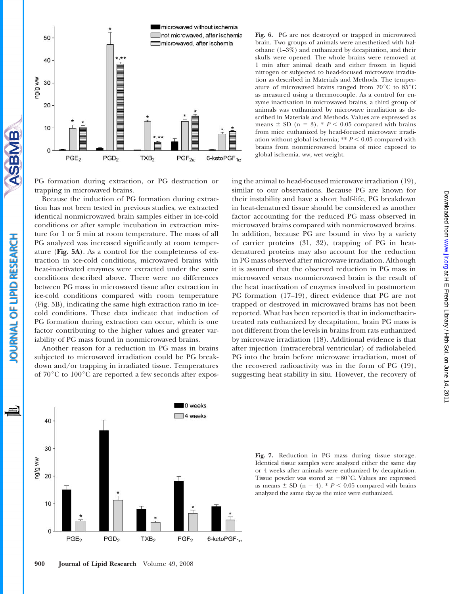

PG formation during extraction, or PG destruction or trapping in microwaved brains.

SBMB

**OURNAL OF LIPID RESEARCH** 

Because the induction of PG formation during extraction has not been tested in previous studies, we extracted identical nonmicrowaved brain samples either in ice-cold conditions or after sample incubation in extraction mixture for 1 or 5 min at room temperature. The mass of all PG analyzed was increased significantly at room temperature (Fig. 5A). As a control for the completeness of extraction in ice-cold conditions, microwaved brains with heat-inactivated enzymes were extracted under the same conditions described above. There were no differences between PG mass in microwaved tissue after extraction in ice-cold conditions compared with room temperature (Fig. 5B), indicating the same high extraction ratio in icecold conditions. These data indicate that induction of PG formation during extraction can occur, which is one factor contributing to the higher values and greater variability of PG mass found in nonmicrowaved brains.

Another reason for a reduction in PG mass in brains subjected to microwaved irradiation could be PG breakdown and/or trapping in irradiated tissue. Temperatures of  $70^{\circ}$ C to  $100^{\circ}$ C are reported a few seconds after expos-

Fig. 6. PG are not destroyed or trapped in microwaved brain. Two groups of animals were anesthetized with halothane (1–3%) and euthanized by decapitation, and their skulls were opened. The whole brains were removed at 1 min after animal death and either frozen in liquid nitrogen or subjected to head-focused microwave irradiation as described in Materials and Methods. The temperature of microwaved brains ranged from  $70^{\circ}$ C to  $85^{\circ}$ C as measured using a thermocouple. As a control for enzyme inactivation in microwaved brains, a third group of animals was euthanized by microwave irradiation as described in Materials and Methods. Values are expressed as means  $\pm$  SD (n = 3). \*  $P < 0.05$  compared with brains from mice euthanized by head-focused microwave irradiation without global ischemia;  $*$   $P < 0.05$  compared with brains from nonmicrowaved brains of mice exposed to global ischemia. ww, wet weight.

ing the animal to head-focused microwave irradiation (19), similar to our observations. Because PG are known for their instability and have a short half-life, PG breakdown in heat-denatured tissue should be considered as another factor accounting for the reduced PG mass observed in microwaved brains compared with nonmicrowaved brains. In addition, because PG are bound in vivo by a variety of carrier proteins (31, 32), trapping of PG in heatdenatured proteins may also account for the reduction in PG mass observed after microwave irradiation. Although it is assumed that the observed reduction in PG mass in microwaved versus nonmicrowaved brain is the result of the heat inactivation of enzymes involved in postmortem PG formation (17–19), direct evidence that PG are not trapped or destroyed in microwaved brains has not been reported. What has been reported is that in indomethacintreated rats euthanized by decapitation, brain PG mass is not different from the levels in brains from rats euthanized by microwave irradiation (18). Additional evidence is that after injection (intracerebral ventricular) of radiolabeled PG into the brain before microwave irradiation, most of the recovered radioactivity was in the form of PG (19), suggesting heat stability in situ. However, the recovery of



Fig. 7. Reduction in PG mass during tissue storage. Identical tissue samples were analyzed either the same day or 4 weeks after animals were euthanized by decapitation. Tissue powder was stored at  $-80^{\circ}$ C. Values are expressed as means  $\pm$  SD (n = 4). \*  $P \le 0.05$  compared with brains analyzed the same day as the mice were euthanized.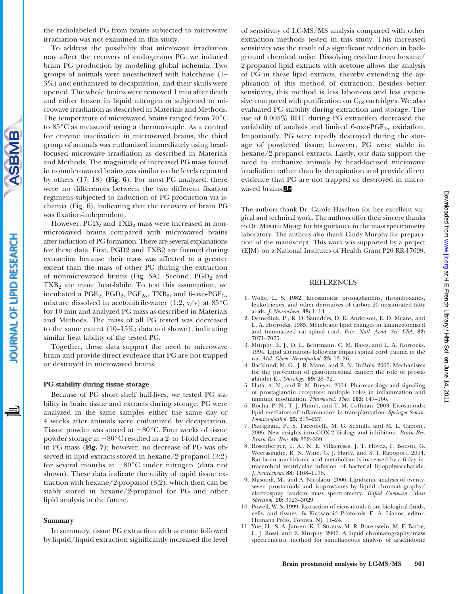the radiolabeled PG from brains subjected to microwave irradiation was not examined in this study.

To address the possibility that microwave irradiation may affect the recovery of endogenous PG, we induced brain PG production by modeling global ischemia. Two groups of animals were anesthetized with halothane (1– 3%) and euthanized by decapitation, and their skulls were opened. The whole brains were removed 1 min after death and either frozen in liquid nitrogen or subjected to microwave irradiation as described in Materials and Methods. The temperature of microwaved brains ranged from  $70^{\circ}$ C to 85°C as measured using a thermocouple. As a control for enzyme inactivation in microwaved brains, the third group of animals was euthanized immediately using headfocused microwave irradiation as described in Materials and Methods. The magnitude of increased PG mass found in nonmicrowaved brains was similar to the levels reported by others  $(17, 18)$  (Fig. 6). For most PG analyzed, there were no differences between the two different fixation regimens subjected to induction of PG production via ischemia (Fig. 6), indicating that the recovery of brain PG was fixation-independent.

However, PGD<sub>2</sub> and TXB<sub>2</sub> mass were increased in nonmicrowaved brains compared with microwaved brains after induction of PG formation. There are several explanations for these data. First, PGD2 and TXB2 are formed during extraction because their mass was affected to a greater extent than the mass of other PG during the extraction of nonmicrowaved brains (Fig. 5A). Second,  $PGD<sub>2</sub>$  and  $TXB<sub>2</sub>$  are more heat-labile. To test this assumption, we incubated a PGE<sub>2</sub>, PGD<sub>2</sub>, PGF<sub>2 $\alpha$ </sub>, TXB<sub>2</sub>, and 6-oxo-PGF<sub>1 $\alpha$ </sub> mixture dissolved in acetonitrile-water (1:2,  $v/v$ ) at 85 $\degree$ C for 10 min and analyzed PG mass as described in Materials and Methods. The mass of all PG tested was decreased to the same extent (10–15%; data not shown), indicating similar heat lability of the tested PG.

Together, these data support the need to microwave brain and provide direct evidence that PG are not trapped or destroyed in microwaved brains.

## PG stability during tissue storage

Because of PG short shelf half-lives, we tested PG stability in brain tissue and extracts during storage. PG were analyzed in the same samples either the same day or 4 weeks after animals were euthanized by decapitation. Tissue powder was stored at  $-80^{\circ}$ C. Four weeks of tissue powder storage at  $-80^{\circ}$ C resulted in a 2- to 4-fold decrease in PG mass (Fig. 7); however, no decrease of PG was observed in lipid extracts stored in hexane/2-propanol (3:2) for several months at  $-80^{\circ}$ C under nitrogen (data not shown). These data indicate the utility of rapid tissue extraction with hexane/2-propanol (3:2), which then can be stably stored in hexane/2-propanol for PG and other lipid analysis in the future.

#### Summary

In summary, tissue PG extraction with acetone followed by liquid/liquid extraction significantly increased the level of sensitivity of LC-MS/MS analysis compared with other extraction methods tested in this study. This increased sensitivity was the result of a significant reduction in background chemical noise. Dissolving residue from hexane/ 2-propanol lipid extracts with acetone allows the analysis of PG in these lipid extracts, thereby extending the application of this method of extraction. Besides better sensitivity, this method is less laborious and less expensive compared with purification on  $C_{18}$  cartridges. We also evaluated PG stability during extraction and storage. The use of 0.005% BHT during PG extraction decreased the variability of analysis and limited 6-oxo-PGF<sub>1 $\alpha$ </sub> oxidation. Importantly, PG were rapidly destroyed during the storage of powdered tissue; however, PG were stable in hexane/2-propanol extracts. Lastly, our data support the need to euthanize animals by head-focused microwave irradiation rather than by decapitation and provide direct evidence that PG are not trapped or destroyed in microwaved brains.

The authors thank Dr. Carole Haselton for her excellent surgical and technical work. The authors offer their sincere thanks to Dr. Masaru Miyagi for his guidance in the mass spectrometry laboratory. The authors also thank Cindy Murphy for preparation of the manuscript. This work was supported by a project (EJM) on a National Institutes of Health Grant P20 RR-17699.

### REFERENCES

- 1. Wolfe, L. S. 1982. Eicosanoids: prostaglandins, thromboxanes, leukotrienes, and other derivatives of carbon-20 unsaturated fatty acids. J. Neurochem. 38: 1–14.
- 2. Demediuk, P., R. D. Saunders, D. K. Anderson, E. D. Means, and L. A. Horrocks. 1985. Membrane lipid changes in laminectomized and traumatized cat spinal cord. Proc. Natl. Acad. Sci. USA. 82: 7071–7075.
- 3. Murphy, E. J., D. L. Behrmann, C. M. Bates, and L. A. Horrocks. 1994. Lipid alterations following impact spinal cord trauma in the rat. Mol. Chem. Neuropathol. 23: 13–26.
- 4. Backlund, M. G., J. R. Mann, and R. N. DuBois. 2005. Mechanisms for the prevention of gastrointestinal cancer: the role of prostaglandin E<sub>2</sub>. Oncology. **69:** 28-32.
- 5. Hata, A. N., and R. M. Breyer. 2004. Pharmacology and signaling of prostaglandin receptors: multiple roles in inflammation and immune modulation. Pharmacol. Ther. 103: 147–166.
- 6. Rocha, P. N., T. J. Plumb, and T. M. Coffman. 2003. Eicosanoids: lipid mediators of inflammation in transplantation. Springer Semin. Immunopathol. 25: 215–227.
- 7. Patrignani, P., S. Tacconelli, M. G. Schiulli, and M. L. Capone. 2005. New insights into COX-2 biology and inhibition. Brain Res. Brain Res. Rev. 48: 352–359.
- 8. Rosenberger, T. A., N. E. Villacreses, J. T. Hovda, F. Boestti, G. Weerasinghe, R. N. Wine, G. J. Harry, and S. I. Rapoport. 2004. Rat brain arachidonic acid metabolism is increased by a 6-day intracerebral ventricular infusion of bacterial lipopolysaccharide. J. Neurochem. 88: 1168–1178.
- 9. Masoodi, M., and A. Nicolaou. 2006. Lipidomic analysis of twentyseven prostanoids and isoprostanes by liquid chromatography/ electrospray tandem mass spectrometry. Rapid Commun. Mass Spectrom. **20:** 3023-3029.
- 10. Powell, W. S. 1999. Extraction of eicosanoids from biological fluids, cells, and tissues. In Eicosanoid Protocols. E. A. Lianos, editor. Humana Press, Totowa, NJ. 11–24.
- 11. Yue, H., S. A. Jansen, K. I. Strauss, M. R. Borenstein, M. F. Barbe, L. J. Rossi, and E. Murphy. 2007. A liquid chromatography/mass spectrometric method for simultaneous analysis of arachidonic